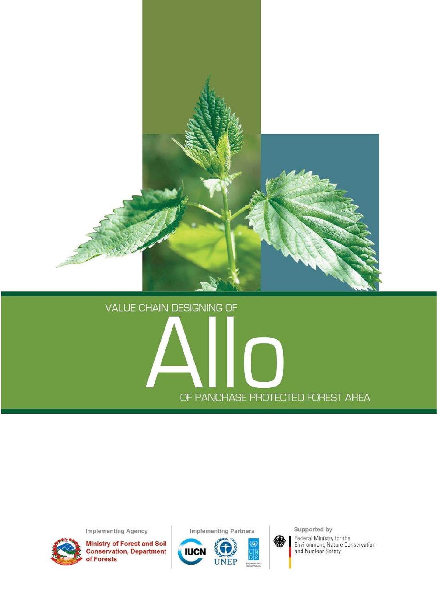

# **VALUE CHAIN DESIGNING OF** OF PANCHASE PROTECTED FOREST AREA

**Implementing Agency** 



**Ministry of Forest and Soil<br>Conservation, Department<br>of Forests** 





Supported by Federal Ministry for the<br>Environment, Nature Conservation<br>and Nuclear Safety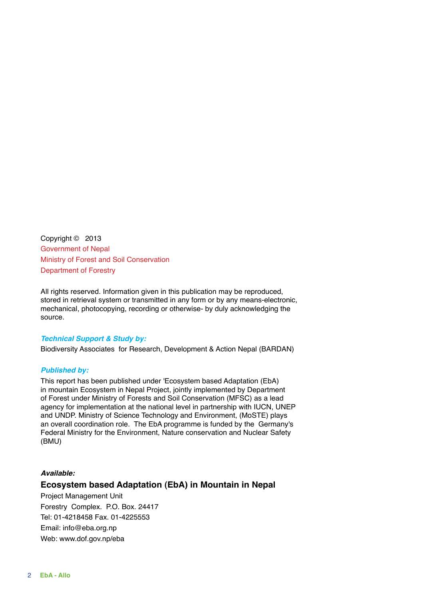Copyright © 2013 Government of Nepal Ministry of Forest and Soil Conservation Department of Forestry

All rights reserved. Information given in this publication may be reproduced, stored in retrieval system or transmitted in any form or by any means-electronic, mechanical, photocopying, recording or otherwise- by duly acknowledging the source.

#### *Technical Support & Study by:*

Biodiversity Associates for Research, Development & Action Nepal (BARDAN)

#### *Published by:*

This report has been published under 'Ecosystem based Adaptation (EbA) in mountain Ecosystem in Nepal Project, jointly implemented by Department of Forest under Ministry of Forests and Soil Conservation (MFSC) as a lead agency for implementation at the national level in partnership with IUCN, UNEP and UNDP. Ministry of Science Technology and Environment, (MoSTE) plays an overall coordination role. The EbA programme is funded by the Germany's Federal Ministry for the Environment, Nature conservation and Nuclear Safety (BMU)

#### *Available:*

### **Ecosystem based Adaptation (EbA) in Mountain in Nepal**

Project Management Unit Forestry Complex. P.O. Box. 24417 Tel: 01-4218458 Fax. 01-4225553 Email: info@eba.org.np Web: www.dof.gov.np/eba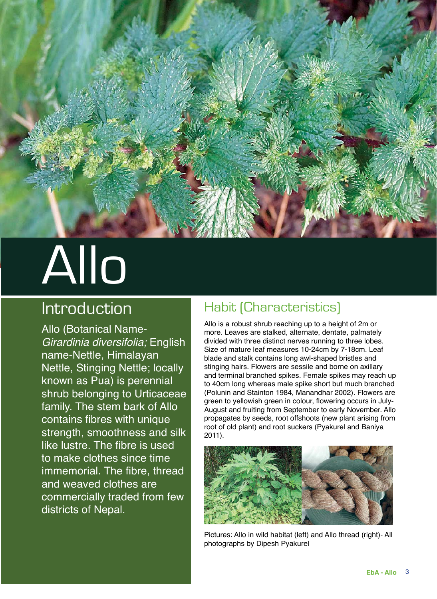

# Allo

# Introduction

Allo (Botanical Name-*Girardinia diversifolia;* English name-Nettle, Himalayan Nettle, Stinging Nettle; locally known as Pua) is perennial shrub belonging to Urticaceae family. The stem bark of Allo contains fibres with unique strength, smoothness and silk like lustre. The fibre is used to make clothes since time immemorial. The fibre, thread and weaved clothes are commercially traded from few districts of Nepal.

## Habit (Characteristics)

Allo is a robust shrub reaching up to a height of 2m or more. Leaves are stalked, alternate, dentate, palmately divided with three distinct nerves running to three lobes. Size of mature leaf measures 10-24cm by 7-18cm. Leaf blade and stalk contains long awl-shaped bristles and stinging hairs. Flowers are sessile and borne on axillary and terminal branched spikes. Female spikes may reach up to 40cm long whereas male spike short but much branched (Polunin and Stainton 1984, Manandhar 2002). Flowers are green to yellowish green in colour, flowering occurs in July-August and fruiting from September to early November. Allo propagates by seeds, root offshoots (new plant arising from root of old plant) and root suckers (Pyakurel and Baniya 2011).



Pictures: Allo in wild habitat (left) and Allo thread (right)- All photographs by Dipesh Pyakurel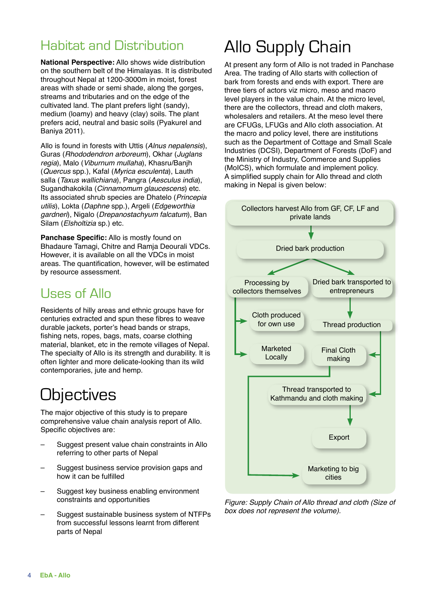## Habitat and Distribution

**National Perspective:** Allo shows wide distribution on the southern belt of the Himalayas. It is distributed throughout Nepal at 1200-3000m in moist, forest areas with shade or semi shade, along the gorges, streams and tributaries and on the edge of the cultivated land. The plant prefers light (sandy), medium (loamy) and heavy (clay) soils. The plant prefers acid, neutral and basic soils (Pyakurel and Baniya 2011).

Allo is found in forests with Uttis (*Alnus nepalensis*), Guras (*Rhododendron arboreum*), Okhar (*Juglans regia*), Malo (*Viburnum mullaha*), Khasru/Banjh (*Quercus* spp.), Kafal (*Myrica esculenta*), Lauth salla (*Taxus wallichiana*), Pangra (*Aesculus india*), Sugandhakokila (*Cinnamomum glaucescens*) etc. Its associated shrub species are Dhatelo (*Princepia utilis*), Lokta (*Daphne* spp.), Argeli (*Edgeworthia gardneri*), Nigalo (*Drepanostachyum falcatum*), Ban Silam (*Elsholtizia* sp.) etc.

**Panchase Specific:** Allo is mostly found on Bhadaure Tamagi, Chitre and Ramja Deourali VDCs. However, it is available on all the VDCs in moist areas. The quantification, however, will be estimated by resource assessment.

## Uses of Allo

Residents of hilly areas and ethnic groups have for centuries extracted and spun these fibres to weave durable jackets, porter's head bands or straps, fishing nets, ropes, bags, mats, coarse clothing material, blanket, etc in the remote villages of Nepal. The specialty of Allo is its strength and durability. It is often lighter and more delicate-looking than its wild contemporaries, jute and hemp.

# **Objectives**

The major objective of this study is to prepare comprehensive value chain analysis report of Allo. Specific objectives are:

- Suggest present value chain constraints in Allo referring to other parts of Nepal
- Suggest business service provision gaps and how it can be fulfilled
- Suggest key business enabling environment constraints and opportunities
- Suggest sustainable business system of NTFPs from successful lessons learnt from different parts of Nepal

# Allo Supply Chain

At present any form of Allo is not traded in Panchase Area. The trading of Allo starts with collection of bark from forests and ends with export. There are three tiers of actors viz micro, meso and macro level players in the value chain. At the micro level, there are the collectors, thread and cloth makers, wholesalers and retailers. At the meso level there are CFUGs, LFUGs and Allo cloth association. At the macro and policy level, there are institutions such as the Department of Cottage and Small Scale Industries (DCSI), Department of Forests (DoF) and the Ministry of Industry, Commerce and Supplies (MoICS), which formulate and implement policy. A simplified supply chain for Allo thread and cloth making in Nepal is given below:



*Figure: Supply Chain of Allo thread and cloth (Size of box does not represent the volume).*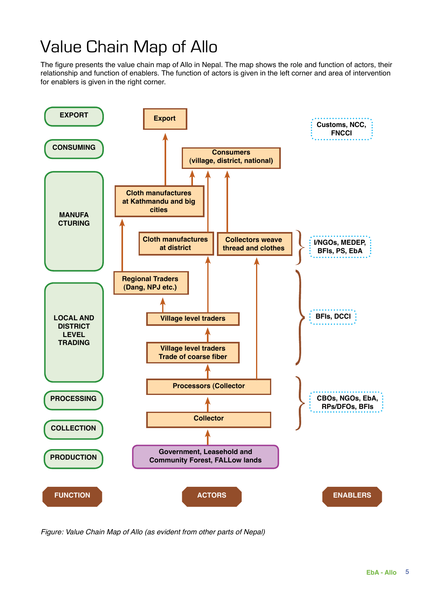# Value Chain Map of Allo

The figure presents the value chain map of Allo in Nepal. The map shows the role and function of actors, their relationship and function of enablers. The function of actors is given in the left corner and area of intervention for enablers is given in the right corner.



*Figure: Value Chain Map of Allo (as evident from other parts of Nepal)*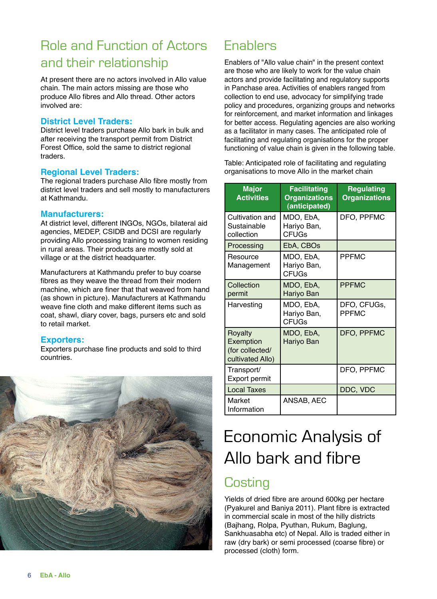# Role and Function of Actors and their relationship

At present there are no actors involved in Allo value chain. The main actors missing are those who produce Allo fibres and Allo thread. Other actors involved are:

#### **District Level Traders:**

District level traders purchase Allo bark in bulk and after receiving the transport permit from District Forest Office, sold the same to district regional traders.

#### **Regional Level Traders:**

The regional traders purchase Allo fibre mostly from district level traders and sell mostly to manufacturers at Kathmandu.

#### **Manufacturers:**

At district level, different INGOs, NGOs, bilateral aid agencies, MEDEP, CSIDB and DCSI are regularly providing Allo processing training to women residing in rural areas. Their products are mostly sold at village or at the district headquarter.

Manufacturers at Kathmandu prefer to buy coarse fibres as they weave the thread from their modern machine, which are finer that that weaved from hand (as shown in picture). Manufacturers at Kathmandu weave fine cloth and make different items such as coat, shawl, diary cover, bags, pursers etc and sold to retail market.

### **Exporters:**

Exporters purchase fine products and sold to third countries.



## **Enablers**

Enablers of "Allo value chain" in the present context are those who are likely to work for the value chain actors and provide facilitating and regulatory supports in Panchase area. Activities of enablers ranged from collection to end use, advocacy for simplifying trade policy and procedures, organizing groups and networks for reinforcement, and market information and linkages for better access. Regulating agencies are also working as a facilitator in many cases. The anticipated role of facilitating and regulating organisations for the proper functioning of value chain is given in the following table.

Table: Anticipated role of facilitating and regulating organisations to move Allo in the market chain

| <b>Major</b><br><b>Activities</b>                           | <b>Facilitating</b><br><b>Organizations</b><br>(anticipated) | <b>Regulating</b><br><b>Organizations</b> |
|-------------------------------------------------------------|--------------------------------------------------------------|-------------------------------------------|
| Cultivation and<br>Sustainable<br>collection                | MDO, EbA,<br>Hariyo Ban,<br><b>CFUGs</b>                     | DFO, PPFMC                                |
| Processing                                                  | EbA, CBOs                                                    |                                           |
| Resource<br>Management                                      | MDO, EbA,<br>Hariyo Ban,<br><b>CFUGs</b>                     | <b>PPFMC</b>                              |
| Collection<br>permit                                        | MDO, EbA,<br>Hariyo Ban                                      | <b>PPFMC</b>                              |
| Harvesting                                                  | MDO, EbA,<br>Hariyo Ban,<br><b>CFUGs</b>                     | DFO, CFUGs,<br><b>PPFMC</b>               |
| Royalty<br>Exemption<br>(for collected/<br>cultivated Allo) | MDO, EbA,<br><b>Hariyo Ban</b>                               | DFO, PPFMC                                |
| Transport/<br><b>Export permit</b>                          |                                                              | DFO, PPFMC                                |
| <b>Local Taxes</b>                                          |                                                              | DDC, VDC                                  |
| Market<br>Information                                       | ANSAB. AEC                                                   |                                           |

# Economic Analysis of Allo bark and fibre

## **Costing**

Yields of dried fibre are around 600kg per hectare (Pyakurel and Baniya 2011). Plant fibre is extracted in commercial scale in most of the hilly districts (Bajhang, Rolpa, Pyuthan, Rukum, Baglung, Sankhuasabha etc) of Nepal. Allo is traded either in raw (dry bark) or semi processed (coarse fibre) or processed (cloth) form.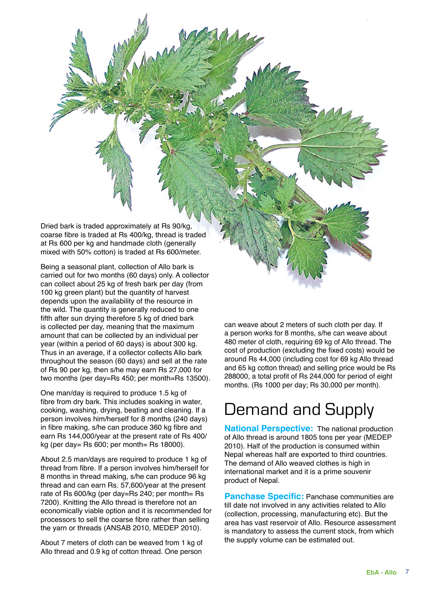Dried bark is traded approximately at Rs 90/kg, coarse fibre is traded at Rs 400/kg, thread is traded at Rs 600 per kg and handmade cloth (generally mixed with 50% cotton) is traded at Rs 600/meter.

Being a seasonal plant, collection of Allo bark is carried out for two months (60 days) only. A collector can collect about 25 kg of fresh bark per day (from 100 kg green plant) but the quantity of harvest depends upon the availability of the resource in the wild. The quantity is generally reduced to one fifth after sun drying therefore 5 kg of dried bark is collected per day, meaning that the maximum amount that can be collected by an individual per year (within a period of 60 days) is about 300 kg. Thus in an average, if a collector collects Allo bark throughout the season (60 days) and sell at the rate of Rs 90 per kg, then s/he may earn Rs 27,000 for two months (per day=Rs 450; per month=Rs 13500).

One man/day is required to produce 1.5 kg of fibre from dry bark. This includes soaking in water, cooking, washing, drying, beating and cleaning. If a person involves him/herself for 8 months (240 days) in fibre making, s/he can produce 360 kg fibre and earn Rs 144,000/year at the present rate of Rs 400/ kg (per day= Rs  $600$ ; per month= Rs 18000).

About 2.5 man/days are required to produce 1 kg of thread from fibre. If a person involves him/herself for 8 months in thread making, s/he can produce 96 kg thread and can earn Rs. 57,600/year at the present rate of Rs 600/kg (per day=Rs 240; per month= Rs 7200). Knitting the Allo thread is therefore not an economically viable option and it is recommended for processors to sell the coarse fibre rather than selling the yarn or threads (ANSAB 2010, MEDEP 2010).

About 7 meters of cloth can be weaved from 1 kg of Allo thread and 0.9 kg of cotton thread. One person

can weave about 2 meters of such cloth per day. If a person works for 8 months, s/he can weave about 480 meter of cloth, requiring 69 kg of Allo thread. The cost of production (excluding the fixed costs) would be around Rs 44,000 (including cost for 69 kg Allo thread and 65 kg cotton thread) and selling price would be Rs 288000, a total profit of Rs 244,000 for period of eight months. (Rs 1000 per day; Rs 30,000 per month).

# Demand and Supply

**National Perspective:** The national production of Allo thread is around 1805 tons per year (MEDEP 2010). Half of the production is consumed within Nepal whereas half are exported to third countries. The demand of Allo weaved clothes is high in international market and it is a prime souvenir product of Nepal.

**Panchase Specific:** Panchase communities are till date not involved in any activities related to Allo (collection, processing, manufacturing etc). But the area has vast reservoir of Allo. Resource assessment is mandatory to assess the current stock, from which the supply volume can be estimated out.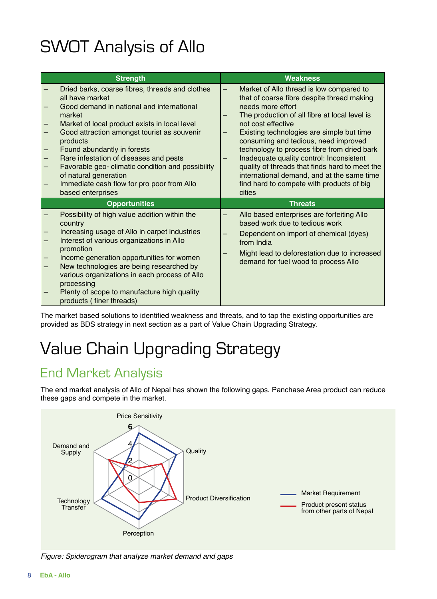# SWOT Analysis of Allo

|                   | <b>Strength</b>                                                                                                                                                                                                                                                                                                                                                                                                                                                 | <b>Weakness</b>                                                                                                                                                                                                                                                                                                                                                                                                                                                                                                                |
|-------------------|-----------------------------------------------------------------------------------------------------------------------------------------------------------------------------------------------------------------------------------------------------------------------------------------------------------------------------------------------------------------------------------------------------------------------------------------------------------------|--------------------------------------------------------------------------------------------------------------------------------------------------------------------------------------------------------------------------------------------------------------------------------------------------------------------------------------------------------------------------------------------------------------------------------------------------------------------------------------------------------------------------------|
|                   | Dried barks, coarse fibres, threads and clothes<br>all have market<br>Good demand in national and international<br>market<br>Market of local product exists in local level<br>Good attraction amongst tourist as souvenir<br>products<br>Found abundantly in forests<br>Rare infestation of diseases and pests<br>Favorable geo- climatic condition and possibility<br>of natural generation<br>Immediate cash flow for pro poor from Allo<br>based enterprises | Market of Allo thread is low compared to<br>—<br>that of coarse fibre despite thread making<br>needs more effort<br>The production of all fibre at local level is<br>not cost effective<br>Existing technologies are simple but time<br>consuming and tedious, need improved<br>technology to process fibre from dried bark<br>Inadequate quality control: Inconsistent<br>quality of threads that finds hard to meet the<br>international demand, and at the same time<br>find hard to compete with products of big<br>cities |
|                   | <b>Opportunities</b>                                                                                                                                                                                                                                                                                                                                                                                                                                            | <b>Threats</b>                                                                                                                                                                                                                                                                                                                                                                                                                                                                                                                 |
| $\qquad \qquad -$ | Possibility of high value addition within the<br>country<br>Increasing usage of Allo in carpet industries<br>Interest of various organizations in Allo<br>promotion<br>Income generation opportunities for women<br>New technologies are being researched by<br>various organizations in each process of Allo<br>processing<br>Plenty of scope to manufacture high quality<br>products (finer threads)                                                          | Allo based enterprises are forfeiting Allo<br>based work due to tedious work<br>Dependent on import of chemical (dyes)<br>from India<br>Might lead to deforestation due to increased<br>demand for fuel wood to process Allo                                                                                                                                                                                                                                                                                                   |

The market based solutions to identified weakness and threats, and to tap the existing opportunities are provided as BDS strategy in next section as a part of Value Chain Upgrading Strategy.

# Value Chain Upgrading Strategy

# End Market Analysis

The end market analysis of Allo of Nepal has shown the following gaps. Panchase Area product can reduce these gaps and compete in the market.



*Figure: Spiderogram that analyze market demand and gaps*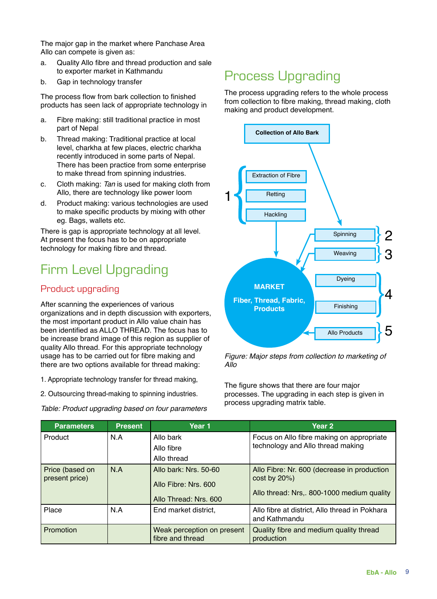The major gap in the market where Panchase Area Allo can compete is given as:

- a. Quality Allo fibre and thread production and sale to exporter market in Kathmandu
- b. Gap in technology transfer

The process flow from bark collection to finished products has seen lack of appropriate technology in

- a. Fibre making: still traditional practice in most part of Nepal
- b. Thread making: Traditional practice at local level, charkha at few places, electric charkha recently introduced in some parts of Nepal. There has been practice from some enterprise to make thread from spinning industries.
- c. Cloth making: *Tan* is used for making cloth from Allo, there are technology like power loom
- d. Product making: various technologies are used to make specific products by mixing with other eg. Bags, wallets etc.

There is gap is appropriate technology at all level. At present the focus has to be on appropriate technology for making fibre and thread.

# Firm Level Upgrading

## Product upgrading

After scanning the experiences of various organizations and in depth discussion with exporters, the most important product in Allo value chain has been identified as ALLO THREAD. The focus has to be increase brand image of this region as supplier of quality Allo thread. For this appropriate technology usage has to be carried out for fibre making and there are two options available for thread making:

1. Appropriate technology transfer for thread making,

2. Outsourcing thread-making to spinning industries.

*Table: Product upgrading based on four parameters*

# Process Upgrading

The process upgrading refers to the whole process from collection to fibre making, thread making, cloth making and product development.



*Figure: Major steps from collection to marketing of Allo* 

The figure shows that there are four major processes. The upgrading in each step is given in process upgrading matrix table.

| <b>Parameters</b> | <b>Present</b> | Year 1                                         | Year <sub>2</sub>                                               |
|-------------------|----------------|------------------------------------------------|-----------------------------------------------------------------|
| Product           | N.A            | Allo bark                                      | Focus on Allo fibre making on appropriate                       |
|                   |                | Allo fibre                                     | technology and Allo thread making                               |
|                   |                | Allo thread                                    |                                                                 |
| Price (based on   | N.A            | Allo bark: Nrs. 50-60                          | Allo Fibre: Nr. 600 (decrease in production                     |
| present price)    |                | Allo Fibre: Nrs. 600                           | $cost$ by $20\%)$                                               |
|                   |                | Allo Thread: Nrs. 600                          | Allo thread: Nrs,. 800-1000 medium quality                      |
| Place             | N.A            | End market district,                           | Allo fibre at district, Allo thread in Pokhara<br>and Kathmandu |
| Promotion         |                | Weak perception on present<br>fibre and thread | Quality fibre and medium quality thread<br>production           |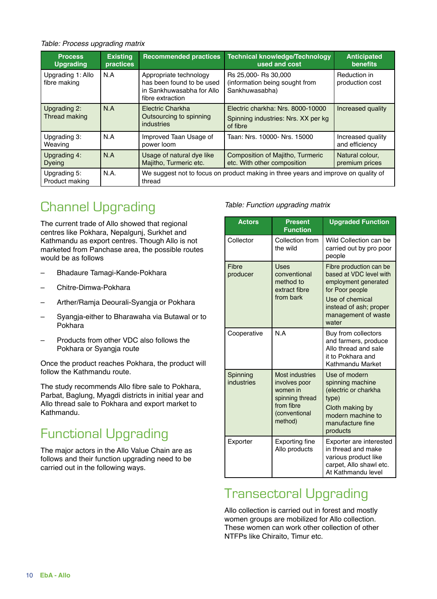#### *Table: Process upgrading matrix*

| <b>Process</b><br><b>Upgrading</b>                                                          | <b>Existing</b><br>practices                                     | <b>Recommended practices</b>                                                                         | Technical knowledge/Technology<br>used and cost                                      | <b>Anticipated</b><br><b>benefits</b> |
|---------------------------------------------------------------------------------------------|------------------------------------------------------------------|------------------------------------------------------------------------------------------------------|--------------------------------------------------------------------------------------|---------------------------------------|
| Upgrading 1: Allo<br>fibre making                                                           | N.A                                                              | Appropriate technology<br>has been found to be used<br>in Sankhuwasabha for Allo<br>fibre extraction | Rs 25,000- Rs 30,000<br>(information being sought from<br>Sankhuwasabha)             | Reduction in<br>production cost       |
| Upgrading 2:<br><b>Thread making</b>                                                        | N.A<br>Electric Charkha<br>Outsourcing to spinning<br>industries |                                                                                                      | Electric charkha: Nrs. 8000-10000<br>Spinning industries: Nrs. XX per kg<br>of fibre | Increased quality                     |
| Upgrading 3:<br>Weaving                                                                     | N.A                                                              | Improved Taan Usage of<br>power loom                                                                 | Taan: Nrs. 10000- Nrs. 15000                                                         | Increased quality<br>and efficiency   |
| N.A<br>Usage of natural dye like<br>Upgrading 4:<br>Majitho, Turmeric etc.<br><b>Dyeing</b> |                                                                  | Composition of Majitho, Turmeric<br>etc. With other composition                                      | Natural colour,<br>premium prices                                                    |                                       |
| Upgrading 5:<br>Product making                                                              | N.A.                                                             | We suggest not to focus on product making in three years and improve on quality of<br>thread         |                                                                                      |                                       |

# Channel Upgrading

The current trade of Allo showed that regional centres like Pokhara, Nepalgunj, Surkhet and Kathmandu as export centres. Though Allo is not marketed from Panchase area, the possible routes would be as follows

- Bhadaure Tamagi-Kande-Pokhara
- Chitre-Dimwa-Pokhara
- Arther/Ramja Deourali-Syangja or Pokhara
- Syangja-either to Bharawaha via Butawal or to Pokhara
- Products from other VDC also follows the Pokhara or Syangja route

Once the product reaches Pokhara, the product will follow the Kathmandu route.

The study recommends Allo fibre sale to Pokhara, Parbat, Baglung, Myagdi districts in initial year and Allo thread sale to Pokhara and export market to Kathmandu.

# Functional Upgrading

The major actors in the Allo Value Chain are as follows and their function upgrading need to be carried out in the following ways.

#### *Table: Function upgrading matrix*

| <b>Actors</b>          | <b>Present</b><br><b>Function</b>                                                                                | <b>Upgraded Function</b>                                                                                                                                                   |
|------------------------|------------------------------------------------------------------------------------------------------------------|----------------------------------------------------------------------------------------------------------------------------------------------------------------------------|
| Collector              | Collection from<br>the wild                                                                                      | Wild Collection can be<br>carried out by pro poor<br>people                                                                                                                |
| Fibre<br>producer      | Uses<br>conventional<br>method to<br>extract fibre<br>from bark                                                  | Fibre production can be<br>based at VDC level with<br>employment generated<br>for Poor people<br>Use of chemical<br>instead of ash; proper<br>management of waste<br>water |
| Cooperative            | N A                                                                                                              | Buy from collectors<br>and farmers, produce<br>Allo thread and sale<br>it to Pokhara and<br>Kathmandu Market                                                               |
| Spinning<br>industries | <b>Most industries</b><br>involves poor<br>women in<br>spinning thread<br>from fibre<br>(conventional<br>method) | Use of modern<br>spinning machine<br>(electric or charkha<br>type)<br>Cloth making by<br>modern machine to<br>manufacture fine<br>products                                 |
| Exporter               | <b>Exporting fine</b><br>Allo products                                                                           | Exporter are interested<br>in thread and make<br>various product like<br>carpet, Allo shawl etc.<br>At Kathmandu level                                                     |

## Transectoral Upgrading

Allo collection is carried out in forest and mostly women groups are mobilized for Allo collection. These women can work other collection of other NTFPs like Chiraito, Timur etc.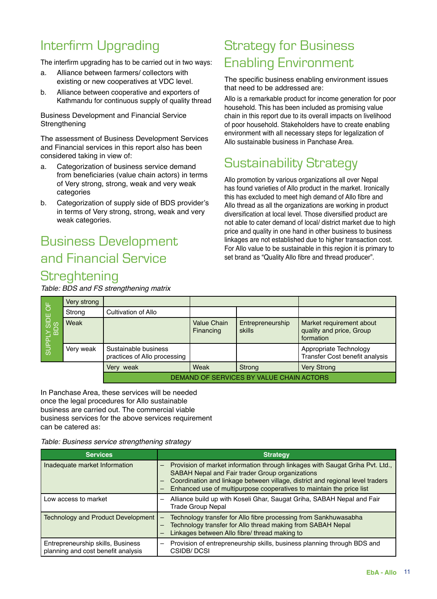# Interfirm Upgrading

The interfirm upgrading has to be carried out in two ways:

- a. Alliance between farmers/ collectors with existing or new cooperatives at VDC level.
- b. Alliance between cooperative and exporters of Kathmandu for continuous supply of quality thread

Business Development and Financial Service Strengthening

The assessment of Business Development Services and Financial services in this report also has been considered taking in view of:

- a. Categorization of business service demand from beneficiaries (value chain actors) in terms of Very strong, strong, weak and very weak categories
- b. Categorization of supply side of BDS provider's in terms of Very strong, strong, weak and very weak categories.

# Business Development and Financial Service **Streghtening**

*Table: BDS and FS strengthening matrix*

## Strategy for Business Enabling Environment

The specific business enabling environment issues that need to be addressed are:

Allo is a remarkable product for income generation for poor household. This has been included as promising value chain in this report due to its overall impacts on livelihood of poor household. Stakeholders have to create enabling environment with all necessary steps for legalization of Allo sustainable business in Panchase Area.

# Sustainability Strategy

Allo promotion by various organizations all over Nepal has found varieties of Allo product in the market. Ironically this has excluded to meet high demand of Allo fibre and Allo thread as all the organizations are working in product diversification at local level. Those diversified product are not able to cater demand of local/ district market due to high price and quality in one hand in other business to business linkages are not established due to higher transaction cost. For Allo value to be sustainable in this region it is primary to set brand as "Quality Allo fibre and thread producer".

| SUPPLY SIDE OF<br>BDS | Very strong |                                                      |                          |                                   |                                                                   |
|-----------------------|-------------|------------------------------------------------------|--------------------------|-----------------------------------|-------------------------------------------------------------------|
|                       | Strong      | Cultivation of Allo                                  |                          |                                   |                                                                   |
|                       | Weak        |                                                      | Value Chain<br>Financing | Entrepreneurship<br><b>skills</b> | Market requirement about<br>quality and price, Group<br>formation |
|                       | Very weak   | Sustainable business<br>practices of Allo processing |                          |                                   | Appropriate Technology<br>Transfer Cost benefit analysis          |
|                       |             | Very weak                                            | Weak                     | Strong                            | <b>Very Strong</b>                                                |
|                       |             | DEMAND OF SERVICES BY VALUE CHAIN ACTORS             |                          |                                   |                                                                   |

In Panchase Area, these services will be needed once the legal procedures for Allo sustainable business are carried out. The commercial viable business services for the above services requirement can be catered as:

*Table: Business service strengthening strategy*

| <b>Services</b>                                                         | <b>Strategy</b>                                                                                                                                                                                                                                                                                |
|-------------------------------------------------------------------------|------------------------------------------------------------------------------------------------------------------------------------------------------------------------------------------------------------------------------------------------------------------------------------------------|
| Inadequate market Information                                           | Provision of market information through linkages with Saugat Griha Pvt. Ltd.,<br>SABAH Nepal and Fair trader Group organizations<br>Coordination and linkage between village, district and regional level traders<br>-<br>Enhanced use of multipurpose cooperatives to maintain the price list |
| Low access to market                                                    | Alliance build up with Koseli Ghar, Saugat Griha, SABAH Nepal and Fair<br><b>Trade Group Nepal</b>                                                                                                                                                                                             |
| <b>Technology and Product Development</b>                               | Technology transfer for Allo fibre processing from Sankhuwasabha<br>$\overline{\phantom{0}}$<br>Technology transfer for Allo thread making from SABAH Nepal<br>$\qquad \qquad$<br>Linkages between Allo fibre/ thread making to                                                                |
| Entrepreneurship skills, Business<br>planning and cost benefit analysis | Provision of entrepreneurship skills, business planning through BDS and<br>CSIDB/DCSI                                                                                                                                                                                                          |